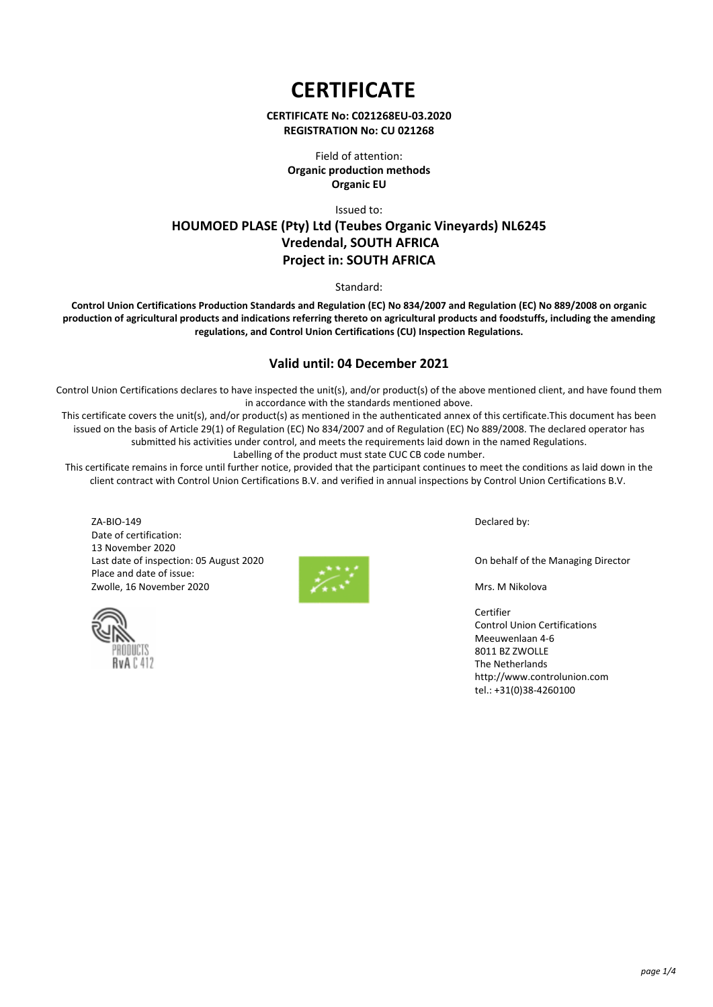**CERTIFICATE** 

### **CERTIFICATE No: C021268EU-03.2020 REGISTRATION No: CU 021268**

Field of attention: **Organic production methods Organic EU**

Issued to: **HOUMOED PLASE (Pty) Ltd (Teubes Organic Vineyards) NL6245 Vredendal, SOUTH AFRICA Project in: SOUTH AFRICA**

Standard:

**Control Union Certifications Production Standards and Regulation (EC) No 834/2007 and Regulation (EC) No 889/2008 on organic production of agricultural products and indications referring thereto on agricultural products and foodstuffs, including the amending regulations, and Control Union Certifications (CU) Inspection Regulations.**

# **Valid until: 04 December 2021**

Control Union Certifications declares to have inspected the unit(s), and/or product(s) of the above mentioned client, and have found them in accordance with the standards mentioned above.

This certificate covers the unit(s), and/or product(s) as mentioned in the authenticated annex of this certificate.This document has been issued on the basis of Article 29(1) of Regulation (EC) No 834/2007 and of Regulation (EC) No 889/2008. The declared operator has submitted his activities under control, and meets the requirements laid down in the named Regulations. Labelling of the product must state CUC CB code number.

This certificate remains in force until further notice, provided that the participant continues to meet the conditions as laid down in the client contract with Control Union Certifications B.V. and verified in annual inspections by Control Union Certifications B.V.

ZA-BIO-149 Date of certification: 13 November 2020 Last date of inspection: 05 August 2020 Place and date of issue: Zwolle, 16 November 2020





Declared by:

On behalf of the Managing Director

Mrs. M Nikolova

Certifier Control Union Certifications Meeuwenlaan 4-6 8011 BZ ZWOLLE The Netherlands http://www.controlunion.com tel.: +31(0)38-4260100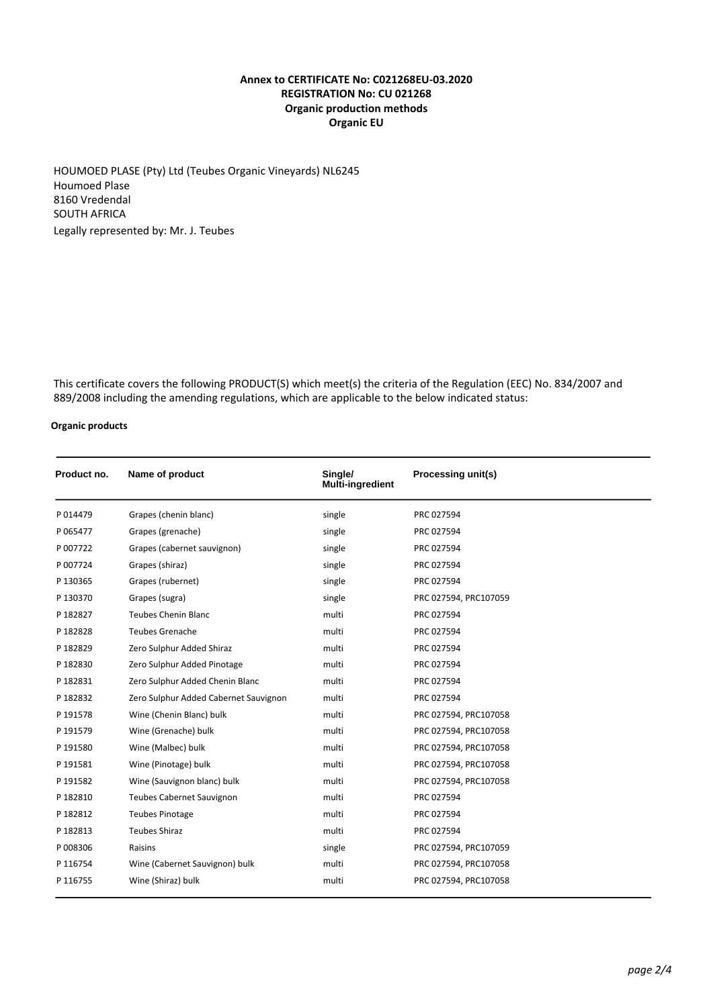# **Annex to CERTIFICATE No: C021268EU-03.2020 REGISTRATION No: CU 021268 Organic production methods Organic EU**

HOUMOED PLASE (Pty) Ltd (Teubes Organic Vineyards) NL6245 Houmoed Plase 8160 Vredendal SOUTH AFRICA Legally represented by: Mr. J. Teubes

This certificate covers the following PRODUCT(S) which meet(s) the criteria of the Regulation (EEC) No. 834/2007 and 889/2008 including the amending regulations, which are applicable to the below indicated status:

### **Organic products**

| Product no. | Name of product                       | Single/<br><b>Multi-ingredient</b> | Processing unit(s)    |
|-------------|---------------------------------------|------------------------------------|-----------------------|
| P014479     | Grapes (chenin blanc)                 | single                             | PRC 027594            |
| P065477     | Grapes (grenache)                     | single                             | PRC 027594            |
| P 007722    | Grapes (cabernet sauvignon)           | single                             | PRC 027594            |
| P 007724    | Grapes (shiraz)                       | single                             | PRC 027594            |
| P 130365    | Grapes (rubernet)                     | single                             | PRC 027594            |
| P 130370    | Grapes (sugra)                        | single                             | PRC 027594, PRC107059 |
| P 182827    | <b>Teubes Chenin Blanc</b>            | multi                              | PRC 027594            |
| P 182828    | <b>Teubes Grenache</b>                | multi                              | PRC 027594            |
| P 182829    | Zero Sulphur Added Shiraz             | multi                              | PRC 027594            |
| P182830     | Zero Sulphur Added Pinotage           | multi                              | PRC 027594            |
| P 182831    | Zero Sulphur Added Chenin Blanc       | multi                              | PRC 027594            |
| P182832     | Zero Sulphur Added Cabernet Sauvignon | multi                              | PRC 027594            |
| P 191578    | Wine (Chenin Blanc) bulk              | multi                              | PRC 027594, PRC107058 |
| P 191579    | Wine (Grenache) bulk                  | multi                              | PRC 027594, PRC107058 |
| P 191580    | Wine (Malbec) bulk                    | multi                              | PRC 027594, PRC107058 |
| P 191581    | Wine (Pinotage) bulk                  | multi                              | PRC 027594, PRC107058 |
| P 191582    | Wine (Sauvignon blanc) bulk           | multi                              | PRC 027594, PRC107058 |
| P 182810    | <b>Teubes Cabernet Sauvignon</b>      | multi                              | PRC 027594            |
| P 182812    | <b>Teubes Pinotage</b>                | multi                              | PRC 027594            |
| P 182813    | <b>Teubes Shiraz</b>                  | multi                              | PRC 027594            |
| P008306     | Raisins                               | single                             | PRC 027594, PRC107059 |
| P 116754    | Wine (Cabernet Sauvignon) bulk        | multi                              | PRC 027594, PRC107058 |
| P 116755    | Wine (Shiraz) bulk                    | multi                              | PRC 027594, PRC107058 |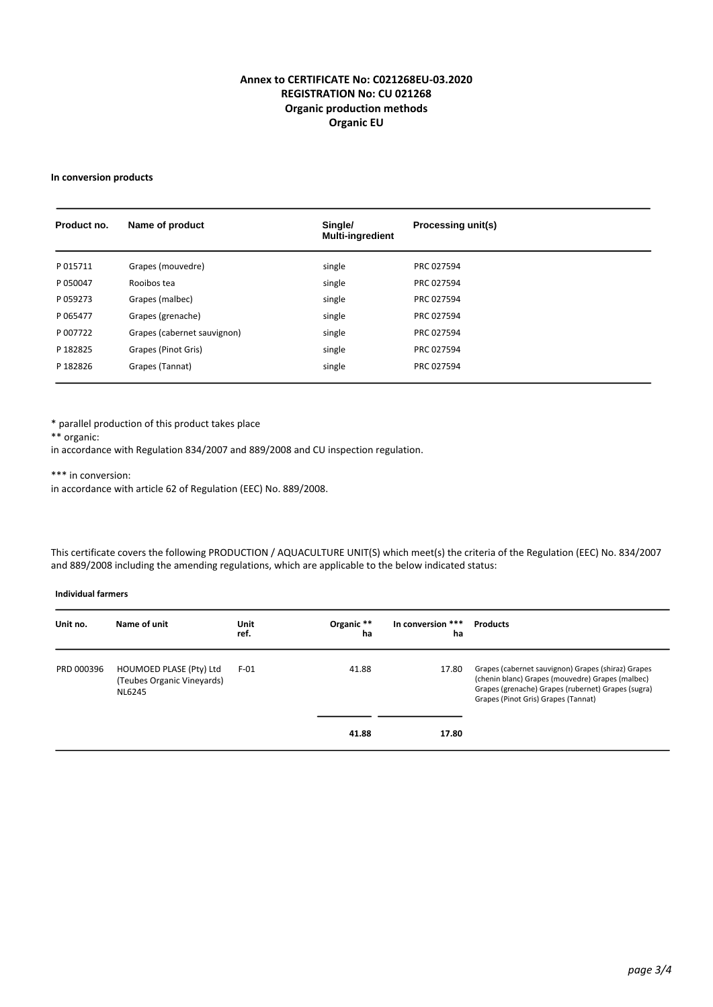# **Annex to CERTIFICATE No: C021268EU-03.2020 REGISTRATION No: CU 021268 Organic production methods Organic EU**

#### **In conversion products**

| Product no. | Name of product             | Single/<br><b>Multi-ingredient</b> | Processing unit(s) |
|-------------|-----------------------------|------------------------------------|--------------------|
| P015711     | Grapes (mouvedre)           | single                             | PRC 027594         |
| P050047     | Rooibos tea                 | single                             | PRC 027594         |
| P059273     | Grapes (malbec)             | single                             | PRC 027594         |
| P065477     | Grapes (grenache)           | single                             | PRC 027594         |
| P 007722    | Grapes (cabernet sauvignon) | single                             | PRC 027594         |
| P 182825    | Grapes (Pinot Gris)         | single                             | PRC 027594         |
| P182826     | Grapes (Tannat)             | single                             | PRC 027594         |

\* parallel production of this product takes place

\*\* organic:

in accordance with Regulation 834/2007 and 889/2008 and CU inspection regulation.

\*\*\* in conversion:

in accordance with article 62 of Regulation (EEC) No. 889/2008.

This certificate covers the following PRODUCTION / AQUACULTURE UNIT(S) which meet(s) the criteria of the Regulation (EEC) No. 834/2007 and 889/2008 including the amending regulations, which are applicable to the below indicated status:

#### **Individual farmers**

| Unit no.   | Name of unit                                                    | Unit<br>ref. | Organic **<br>ha | In conversion ***<br>ha | <b>Products</b>                                                                                                                                                                                     |
|------------|-----------------------------------------------------------------|--------------|------------------|-------------------------|-----------------------------------------------------------------------------------------------------------------------------------------------------------------------------------------------------|
| PRD 000396 | HOUMOED PLASE (Pty) Ltd<br>(Teubes Organic Vineyards)<br>NL6245 | $F-01$       | 41.88            | 17.80                   | Grapes (cabernet sauvignon) Grapes (shiraz) Grapes<br>(chenin blanc) Grapes (mouvedre) Grapes (malbec)<br>Grapes (grenache) Grapes (rubernet) Grapes (sugra)<br>Grapes (Pinot Gris) Grapes (Tannat) |
|            |                                                                 |              | 41.88            | 17.80                   |                                                                                                                                                                                                     |